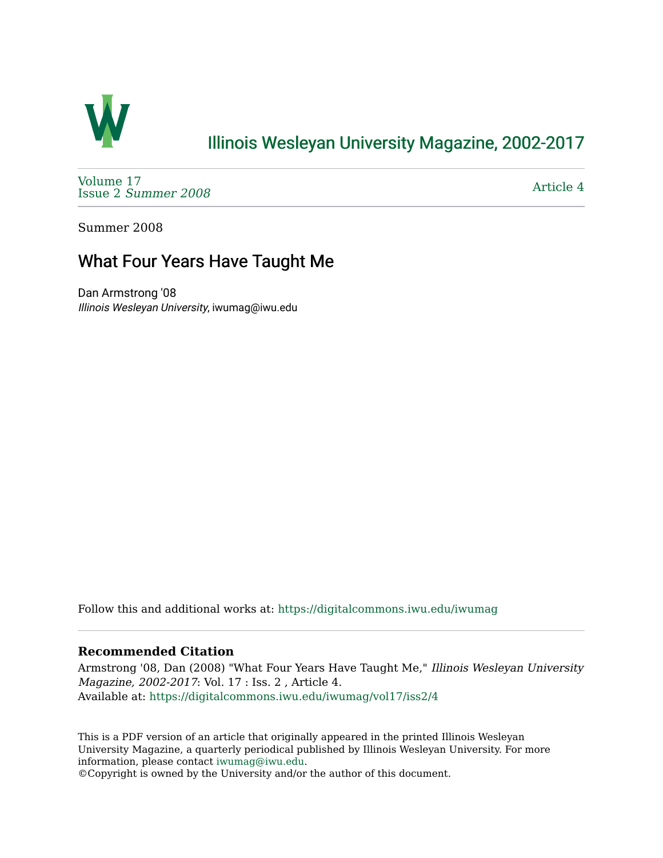

## [Illinois Wesleyan University Magazine, 2002-2017](https://digitalcommons.iwu.edu/iwumag)

[Volume 17](https://digitalcommons.iwu.edu/iwumag/vol17)  Issue 2 [Summer 2008](https://digitalcommons.iwu.edu/iwumag/vol17/iss2) 

[Article 4](https://digitalcommons.iwu.edu/iwumag/vol17/iss2/4) 

Summer 2008

## What Four Years Have Taught Me

Dan Armstrong '08 Illinois Wesleyan University, iwumag@iwu.edu

Follow this and additional works at: [https://digitalcommons.iwu.edu/iwumag](https://digitalcommons.iwu.edu/iwumag?utm_source=digitalcommons.iwu.edu%2Fiwumag%2Fvol17%2Fiss2%2F4&utm_medium=PDF&utm_campaign=PDFCoverPages) 

## **Recommended Citation**

Armstrong '08, Dan (2008) "What Four Years Have Taught Me," Illinois Wesleyan University Magazine, 2002-2017: Vol. 17 : Iss. 2 , Article 4. Available at: [https://digitalcommons.iwu.edu/iwumag/vol17/iss2/4](https://digitalcommons.iwu.edu/iwumag/vol17/iss2/4?utm_source=digitalcommons.iwu.edu%2Fiwumag%2Fvol17%2Fiss2%2F4&utm_medium=PDF&utm_campaign=PDFCoverPages)

This is a PDF version of an article that originally appeared in the printed Illinois Wesleyan University Magazine, a quarterly periodical published by Illinois Wesleyan University. For more information, please contact [iwumag@iwu.edu](mailto:iwumag@iwu.edu).

©Copyright is owned by the University and/or the author of this document.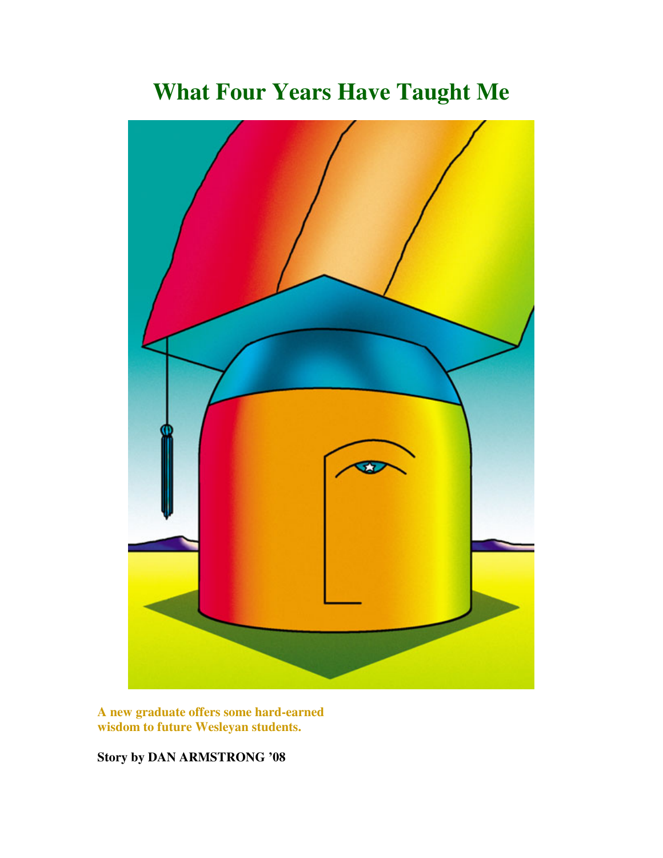**What Four Years Have Taught Me**

**A new graduate offers some hard-earned wisdom to future Wesleyan students.** 

**Story by DAN ARMSTRONG '08**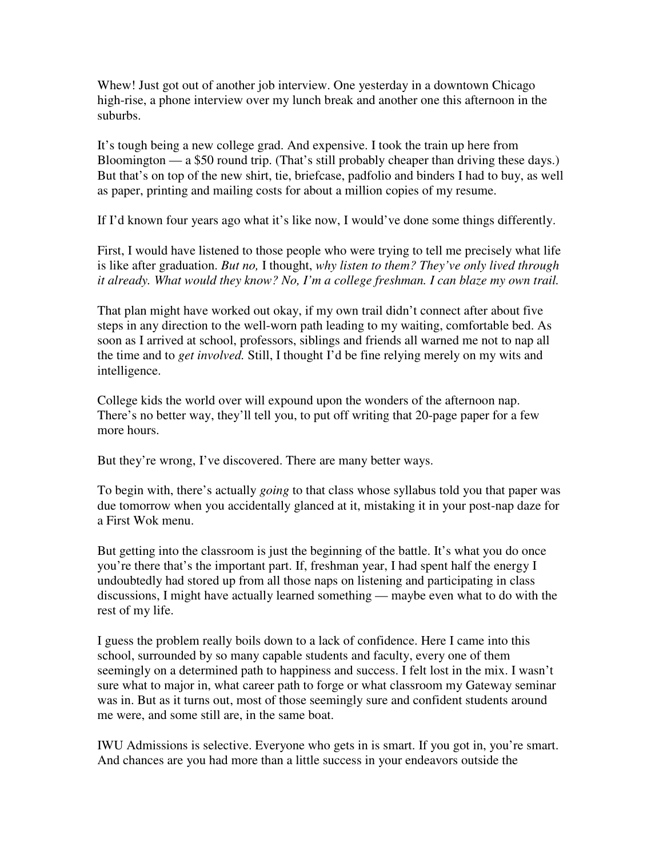Whew! Just got out of another job interview. One yesterday in a downtown Chicago high-rise, a phone interview over my lunch break and another one this afternoon in the suburbs.

It's tough being a new college grad. And expensive. I took the train up here from Bloomington — a \$50 round trip. (That's still probably cheaper than driving these days.) But that's on top of the new shirt, tie, briefcase, padfolio and binders I had to buy, as well as paper, printing and mailing costs for about a million copies of my resume.

If I'd known four years ago what it's like now, I would've done some things differently.

First, I would have listened to those people who were trying to tell me precisely what life is like after graduation. *But no,* I thought, *why listen to them? They've only lived through it already. What would they know? No, I'm a college freshman. I can blaze my own trail.*

That plan might have worked out okay, if my own trail didn't connect after about five steps in any direction to the well-worn path leading to my waiting, comfortable bed. As soon as I arrived at school, professors, siblings and friends all warned me not to nap all the time and to *get involved.* Still, I thought I'd be fine relying merely on my wits and intelligence.

College kids the world over will expound upon the wonders of the afternoon nap. There's no better way, they'll tell you, to put off writing that 20-page paper for a few more hours.

But they're wrong, I've discovered. There are many better ways.

To begin with, there's actually *going* to that class whose syllabus told you that paper was due tomorrow when you accidentally glanced at it, mistaking it in your post-nap daze for a First Wok menu.

But getting into the classroom is just the beginning of the battle. It's what you do once you're there that's the important part. If, freshman year, I had spent half the energy I undoubtedly had stored up from all those naps on listening and participating in class discussions, I might have actually learned something — maybe even what to do with the rest of my life.

I guess the problem really boils down to a lack of confidence. Here I came into this school, surrounded by so many capable students and faculty, every one of them seemingly on a determined path to happiness and success. I felt lost in the mix. I wasn't sure what to major in, what career path to forge or what classroom my Gateway seminar was in. But as it turns out, most of those seemingly sure and confident students around me were, and some still are, in the same boat.

IWU Admissions is selective. Everyone who gets in is smart. If you got in, you're smart. And chances are you had more than a little success in your endeavors outside the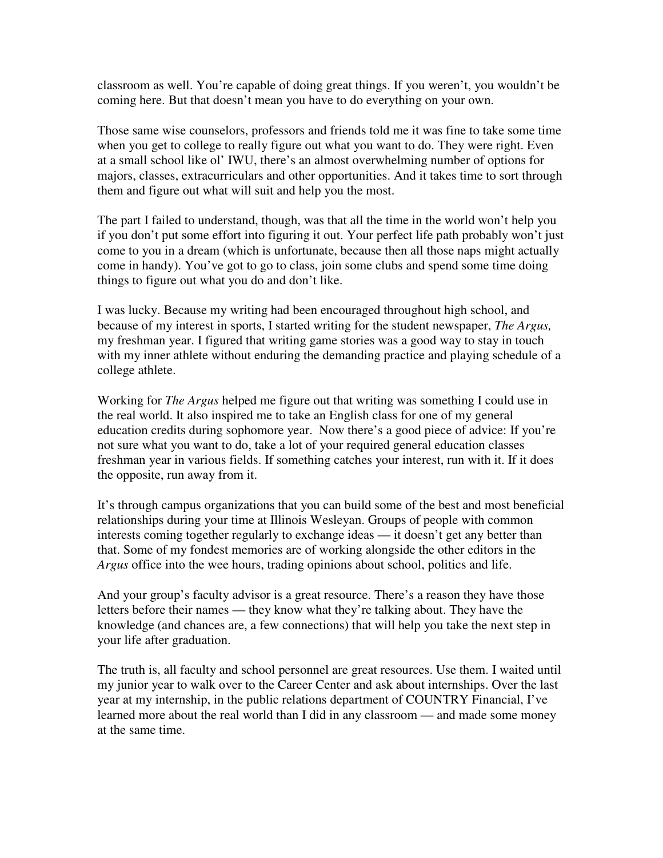classroom as well. You're capable of doing great things. If you weren't, you wouldn't be coming here. But that doesn't mean you have to do everything on your own.

Those same wise counselors, professors and friends told me it was fine to take some time when you get to college to really figure out what you want to do. They were right. Even at a small school like ol' IWU, there's an almost overwhelming number of options for majors, classes, extracurriculars and other opportunities. And it takes time to sort through them and figure out what will suit and help you the most.

The part I failed to understand, though, was that all the time in the world won't help you if you don't put some effort into figuring it out. Your perfect life path probably won't just come to you in a dream (which is unfortunate, because then all those naps might actually come in handy). You've got to go to class, join some clubs and spend some time doing things to figure out what you do and don't like.

I was lucky. Because my writing had been encouraged throughout high school, and because of my interest in sports, I started writing for the student newspaper, *The Argus,* my freshman year. I figured that writing game stories was a good way to stay in touch with my inner athlete without enduring the demanding practice and playing schedule of a college athlete.

Working for *The Argus* helped me figure out that writing was something I could use in the real world. It also inspired me to take an English class for one of my general education credits during sophomore year. Now there's a good piece of advice: If you're not sure what you want to do, take a lot of your required general education classes freshman year in various fields. If something catches your interest, run with it. If it does the opposite, run away from it.

It's through campus organizations that you can build some of the best and most beneficial relationships during your time at Illinois Wesleyan. Groups of people with common interests coming together regularly to exchange ideas — it doesn't get any better than that. Some of my fondest memories are of working alongside the other editors in the *Argus* office into the wee hours, trading opinions about school, politics and life.

And your group's faculty advisor is a great resource. There's a reason they have those letters before their names — they know what they're talking about. They have the knowledge (and chances are, a few connections) that will help you take the next step in your life after graduation.

The truth is, all faculty and school personnel are great resources. Use them. I waited until my junior year to walk over to the Career Center and ask about internships. Over the last year at my internship, in the public relations department of COUNTRY Financial, I've learned more about the real world than I did in any classroom — and made some money at the same time.